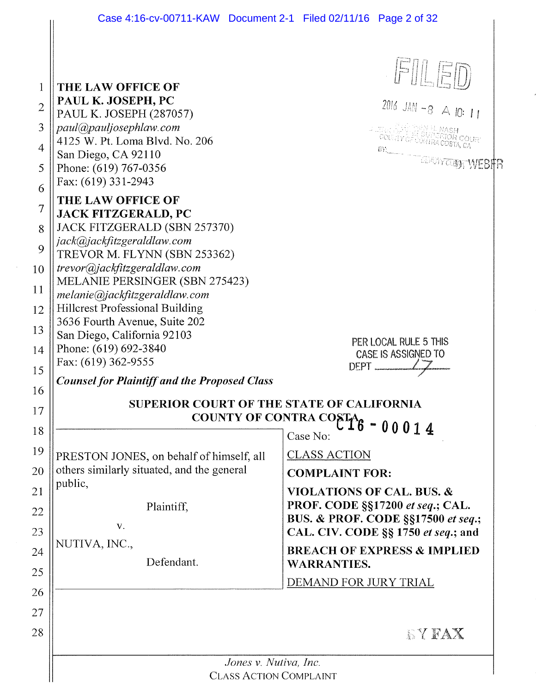| Case 4:16-cv-00711-KAW Document 2-1 Filed 02/11/16 Page 2 of 32                                                                                                                                                           |                                                                                                                                                                                                                                                                                                            |
|---------------------------------------------------------------------------------------------------------------------------------------------------------------------------------------------------------------------------|------------------------------------------------------------------------------------------------------------------------------------------------------------------------------------------------------------------------------------------------------------------------------------------------------------|
| THE LAW OFFICE OF<br>PAUL K. JOSEPH, PC<br>PAUL K. JOSEPH (287057)<br>paul@pauljosephlaw.com<br>4125 W. Pt. Loma Blvd. No. 206<br>San Diego, CA 92110<br>Phone: (619) 767-0356<br>Fax: (619) 331-2943                     | FILED<br>2016 JAN -8 $\triangle$ 10: 11<br>BY CERTIFICATION WEBFR                                                                                                                                                                                                                                          |
| THE LAW OFFICE OF<br><b>JACK FITZGERALD, PC</b><br>JACK FITZGERALD (SBN 257370)<br>jack@jackfitzgeraldlaw.com<br>TREVOR M. FLYNN (SBN 253362)<br>trevor@jackfitzgeraldlaw.com                                             |                                                                                                                                                                                                                                                                                                            |
| MELANIE PERSINGER (SBN 275423)<br>melanie@jackfitzgeraldlaw.com<br><b>Hillcrest Professional Building</b><br>3636 Fourth Avenue, Suite 202<br>San Diego, California 92103<br>Phone: (619) 692-3840<br>Fax: (619) 362-9555 | PER LOCAL RULE 5 THIS<br>CASE IS ASSIGNED TO<br>DEPT                                                                                                                                                                                                                                                       |
| <b>Counsel for Plaintiff and the Proposed Class</b><br><b>SUPERIOR COURT OF THE STATE OF CALIFORNIA</b>                                                                                                                   | COUNTY OF CONTRA COSTAG - 00014                                                                                                                                                                                                                                                                            |
| PRESTON JONES, on behalf of himself, all<br>others similarly situated, and the general<br>public,<br>Plaintiff,<br>V.<br>NUTIVA, INC.,<br>Defendant.                                                                      | Case No:<br><b>CLASS ACTION</b><br><b>COMPLAINT FOR:</b><br><b>VIOLATIONS OF CAL. BUS. &amp;</b><br>PROF. CODE §§17200 et seq.; CAL.<br>BUS. & PROF. CODE §§17500 et seq.;<br>CAL. CIV. CODE §§ 1750 et seq.; and<br><b>BREACH OF EXPRESS &amp; IMPLIED</b><br><b>WARRANTIES.</b><br>DEMAND FOR JURY TRIAL |
|                                                                                                                                                                                                                           | <b>SYFAX</b>                                                                                                                                                                                                                                                                                               |
| Jones v. Nutiva, Inc.<br><b>CLASS ACTION COMPLAINT</b>                                                                                                                                                                    |                                                                                                                                                                                                                                                                                                            |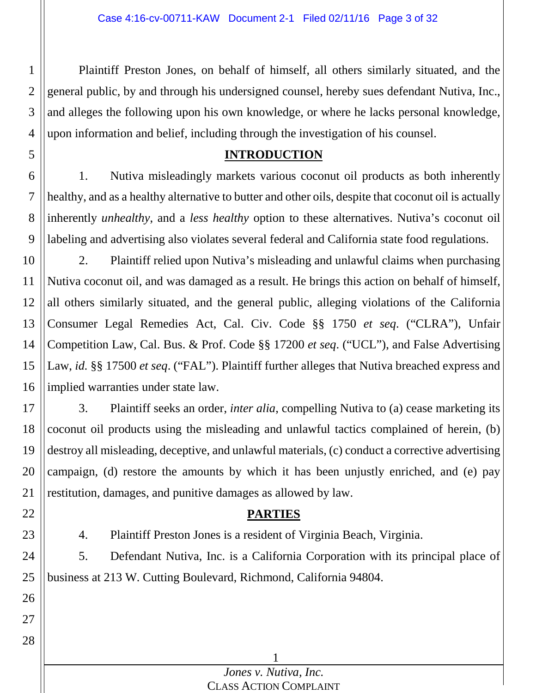2 3 4 Plaintiff Preston Jones, on behalf of himself, all others similarly situated, and the general public, by and through his undersigned counsel, hereby sues defendant Nutiva, Inc., and alleges the following upon his own knowledge, or where he lacks personal knowledge, upon information and belief, including through the investigation of his counsel.

### **INTRODUCTION**

6 7 8 9 1. Nutiva misleadingly markets various coconut oil products as both inherently healthy, and as a healthy alternative to butter and other oils, despite that coconut oil is actually inherently *unhealthy*, and a *less healthy* option to these alternatives. Nutiva's coconut oil labeling and advertising also violates several federal and California state food regulations.

10 11 12 13 14 15 16 2. Plaintiff relied upon Nutiva's misleading and unlawful claims when purchasing Nutiva coconut oil, and was damaged as a result. He brings this action on behalf of himself, all others similarly situated, and the general public, alleging violations of the California Consumer Legal Remedies Act, Cal. Civ. Code §§ 1750 *et seq*. ("CLRA"), Unfair Competition Law, Cal. Bus. & Prof. Code §§ 17200 *et seq*. ("UCL"), and False Advertising Law, *id.* §§ 17500 *et seq*. ("FAL"). Plaintiff further alleges that Nutiva breached express and implied warranties under state law.

17 18 19 20 21 3. Plaintiff seeks an order, *inter alia*, compelling Nutiva to (a) cease marketing its coconut oil products using the misleading and unlawful tactics complained of herein, (b) destroy all misleading, deceptive, and unlawful materials, (c) conduct a corrective advertising campaign, (d) restore the amounts by which it has been unjustly enriched, and (e) pay restitution, damages, and punitive damages as allowed by law.

### **PARTIES**

4. Plaintiff Preston Jones is a resident of Virginia Beach, Virginia.

5. Defendant Nutiva, Inc. is a California Corporation with its principal place of business at 213 W. Cutting Boulevard, Richmond, California 94804.

28

22

23

1

5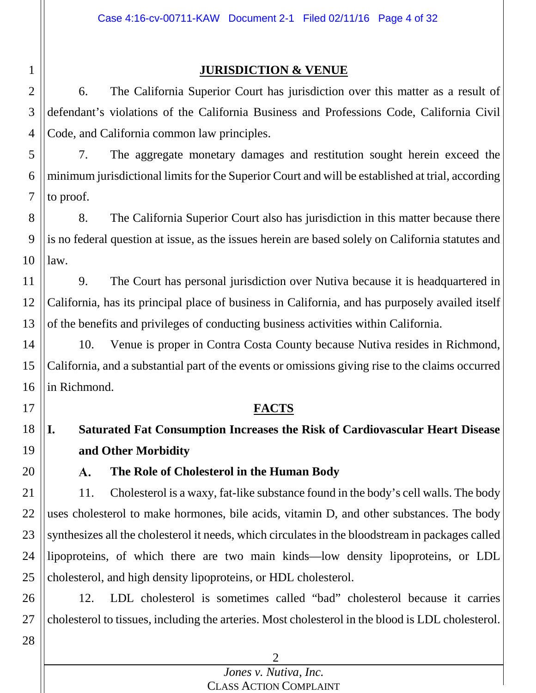### **JURISDICTION & VENUE**

3 4 6. The California Superior Court has jurisdiction over this matter as a result of defendant's violations of the California Business and Professions Code, California Civil Code, and California common law principles.

5 6 7 7. The aggregate monetary damages and restitution sought herein exceed the minimum jurisdictional limits for the Superior Court and will be established at trial, according to proof.

8 9 10 8. The California Superior Court also has jurisdiction in this matter because there is no federal question at issue, as the issues herein are based solely on California statutes and law.

11 12 13 9. The Court has personal jurisdiction over Nutiva because it is headquartered in California, has its principal place of business in California, and has purposely availed itself of the benefits and privileges of conducting business activities within California.

14 15 16 10. Venue is proper in Contra Costa County because Nutiva resides in Richmond, California, and a substantial part of the events or omissions giving rise to the claims occurred in Richmond.

### **FACTS**

#### 18 19 **I. Saturated Fat Consumption Increases the Risk of Cardiovascular Heart Disease and Other Morbidity**

A. **The Role of Cholesterol in the Human Body**

21 22 23 24 25 11. Cholesterol is a waxy, fat-like substance found in the body's cell walls. The body uses cholesterol to make hormones, bile acids, vitamin D, and other substances. The body synthesizes all the cholesterol it needs, which circulates in the bloodstream in packages called lipoproteins, of which there are two main kinds—low density lipoproteins, or LDL cholesterol, and high density lipoproteins, or HDL cholesterol.

26 27 12. LDL cholesterol is sometimes called "bad" cholesterol because it carries cholesterol to tissues, including the arteries. Most cholesterol in the blood is LDL cholesterol.

> $\mathfrak{D}$ *Jones v. Nutiva, Inc.* CLASS ACTION COMPLAINT

1 2

17

20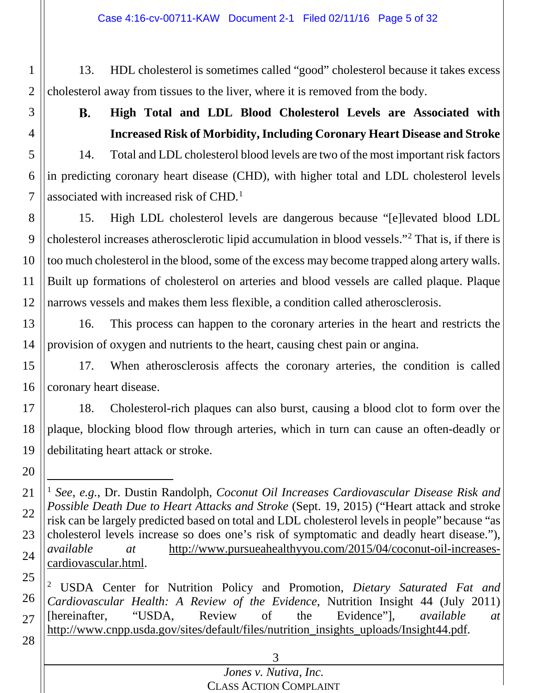Case 4:16-cv-00711-KAW Document 2-1 Filed 02/11/16 Page 5 of 32

1 2 13. HDL cholesterol is sometimes called "good" cholesterol because it takes excess cholesterol away from tissues to the liver, where it is removed from the body.

**B.** 

3

4

<span id="page-4-2"></span>**High Total and LDL Blood Cholesterol Levels are Associated with Increased Risk of Morbidity, Including Coronary Heart Disease and Stroke**

5 6 7 14. Total and LDL cholesterol blood levels are two of the most important risk factors in predicting coronary heart disease (CHD), with higher total and LDL cholesterol levels associated with increased risk of CHD. [1](#page-4-0)

8 9 10 11 12 15. High LDL cholesterol levels are dangerous because "[e]levated blood LDL cholesterol increases atherosclerotic lipid accumulation in blood vessels."[2](#page-4-1) That is, if there is too much cholesterol in the blood, some of the excess may become trapped along artery walls. Built up formations of cholesterol on arteries and blood vessels are called plaque. Plaque narrows vessels and makes them less flexible, a condition called atherosclerosis.

13 14 16. This process can happen to the coronary arteries in the heart and restricts the provision of oxygen and nutrients to the heart, causing chest pain or angina.

15 16 17. When atherosclerosis affects the coronary arteries, the condition is called coronary heart disease.

17 18 19 18. Cholesterol-rich plaques can also burst, causing a blood clot to form over the plaque, blocking blood flow through arteries, which in turn can cause an often-deadly or debilitating heart attack or stroke.

20

<span id="page-4-1"></span>25 26 27 <sup>2</sup> USDA Center for Nutrition Policy and Promotion, *Dietary Saturated Fat and Cardiovascular Health: A Review of the Evidence*, Nutrition Insight 44 (July 2011) [hereinafter, "USDA, Review of the Evidence"], *available at* http://www.cnpp.usda.gov/sites/default/files/nutrition\_insights\_uploads/Insight44.pdf.

28

# 3

<span id="page-4-0"></span><sup>21</sup> 22 23 24 1 *See*, *e.g.*, Dr. Dustin Randolph, *Coconut Oil Increases Cardiovascular Disease Risk and Possible Death Due to Heart Attacks and Stroke* (Sept. 19, 2015) ("Heart attack and stroke risk can be largely predicted based on total and LDL cholesterol levels in people" because "as cholesterol levels increase so does one's risk of symptomatic and deadly heart disease."), *available at* http://www.pursueahealthyyou.com/2015/04/coconut-oil-increasescardiovascular.html.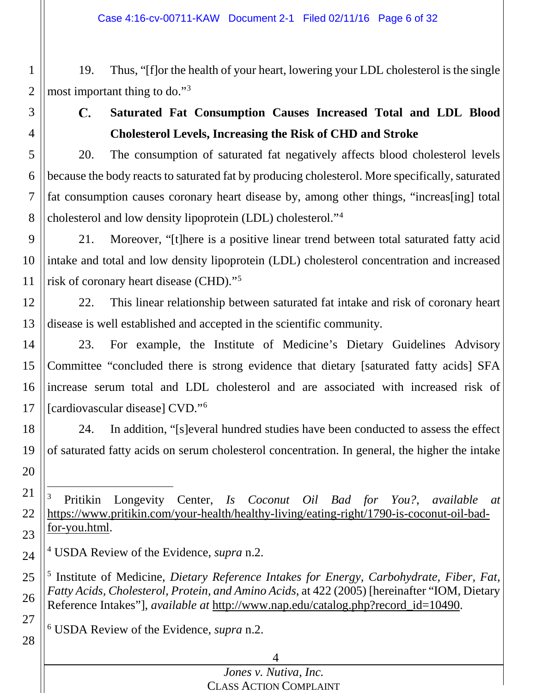19. Thus, "[f]or the health of your heart, lowering your LDL cholesterol is the single most important thing to do."[3](#page-5-0)

<span id="page-5-3"></span>28

1

2

3

**Saturated Fat Consumption Causes Increased Total and LDL Blood**   $\mathbf{C}$ . **Cholesterol Levels, Increasing the Risk of CHD and Stroke**

20. The consumption of saturated fat negatively affects blood cholesterol levels because the body reacts to saturated fat by producing cholesterol. More specifically, saturated fat consumption causes coronary heart disease by, among other things, "increas[ing] total cholesterol and low density lipoprotein (LDL) cholesterol."[4](#page-5-1)

9 10 11 21. Moreover, "[t]here is a positive linear trend between total saturated fatty acid intake and total and low density lipoprotein (LDL) cholesterol concentration and increased risk of coronary heart disease (CHD)."[5](#page-5-2)

<span id="page-5-4"></span>12 13 22. This linear relationship between saturated fat intake and risk of coronary heart disease is well established and accepted in the scientific community.

14 15 16 17 23. For example, the Institute of Medicine's Dietary Guidelines Advisory Committee "concluded there is strong evidence that dietary [saturated fatty acids] SFA increase serum total and LDL cholesterol and are associated with increased risk of [cardiovascular disease] CVD."[6](#page-5-3)

18 19 20 24. In addition, "[s]everal hundred studies have been conducted to assess the effect of saturated fatty acids on serum cholesterol concentration. In general, the higher the intake

<span id="page-5-0"></span>21 22 23 3 Pritikin Longevity Center, *Is Coconut Oil Bad for You?*, *available at* https://www.pritikin.com/your-health/healthy-living/eating-right/1790-is-coconut-oil-badfor-you.html.

<span id="page-5-1"></span>24 <sup>4</sup> USDA Review of the Evidence, *supra* n[.2.](#page-4-2)

<span id="page-5-2"></span>25 26 27 <sup>5</sup> Institute of Medicine, *Dietary Reference Intakes for Energy, Carbohydrate, Fiber, Fat, Fatty Acids, Cholesterol, Protein, and Amino Acids*, at 422 (2005) [hereinafter "IOM, Dietary Reference Intakes"], *available at* http://www.nap.edu/catalog.php?record\_id=10490.

<sup>6</sup> USDA Review of the Evidence, *supra* n[.2.](#page-4-2)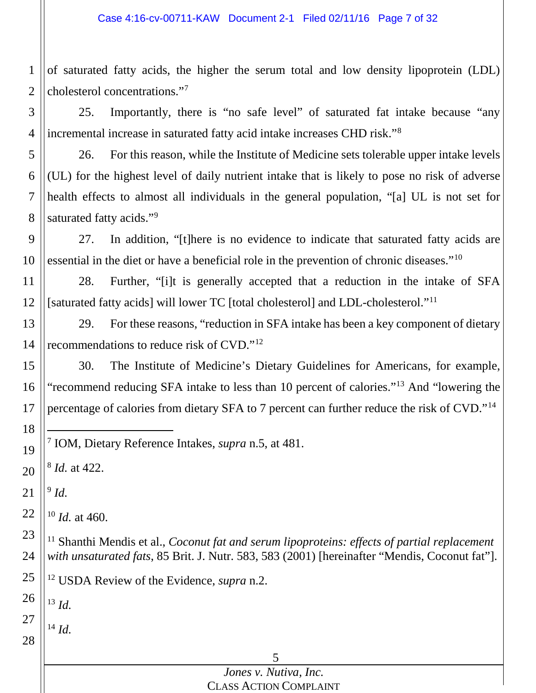of saturated fatty acids, the higher the serum total and low density lipoprotein (LDL) cholesterol concentrations."[7](#page-6-0)

 25. Importantly, there is "no safe level" of saturated fat intake because "any incremental increase in saturated fatty acid intake increases CHD risk."[8](#page-6-1)

 26. For this reason, while the Institute of Medicine sets tolerable upper intake levels (UL) for the highest level of daily nutrient intake that is likely to pose no risk of adverse health effects to almost all individuals in the general population, "[a] UL is not set for saturated fatty acids."<sup>[9](#page-6-2)</sup>

 27. In addition, "[t]here is no evidence to indicate that saturated fatty acids are essential in the diet or have a beneficial role in the prevention of chronic diseases."[10](#page-6-3)

 28. Further, "[i]t is generally accepted that a reduction in the intake of SFA [saturated fatty acids] will lower TC [total cholesterol] and LDL-cholesterol."[11](#page-6-4)

<span id="page-6-8"></span> 29. For these reasons, "reduction in SFA intake has been a key component of dietary recommendations to reduce risk of CVD."[12](#page-6-5)

 30. The Institute of Medicine's Dietary Guidelines for Americans, for example, "recommend reducing SFA intake to less than 10 percent of calories."[13](#page-6-6) And "lowering the percentage of calories from dietary SFA to 7 percent can further reduce the risk of CVD."[14](#page-6-7)

<span id="page-6-1"></span> *Id.* at 422.

<span id="page-6-2"></span> *Id.*

<span id="page-6-0"></span>

<span id="page-6-3"></span> *Id.* at 460.

<span id="page-6-4"></span> <sup>11</sup> Shanthi Mendis et al., *Coconut fat and serum lipoproteins: effects of partial replacement with unsaturated fats*, 85 Brit. J. Nutr. 583, 583 (2001) [hereinafter "Mendis, Coconut fat"].

<span id="page-6-5"></span> USDA Review of the Evidence, *supra* n[.2.](#page-4-2)

<span id="page-6-6"></span> *Id.*

<span id="page-6-7"></span> *Id.*

### *Jones v. Nutiva, Inc.* CLASS ACTION COMPLAINT

IOM, Dietary Reference Intakes, *supra* n[.5,](#page-5-4) at 481.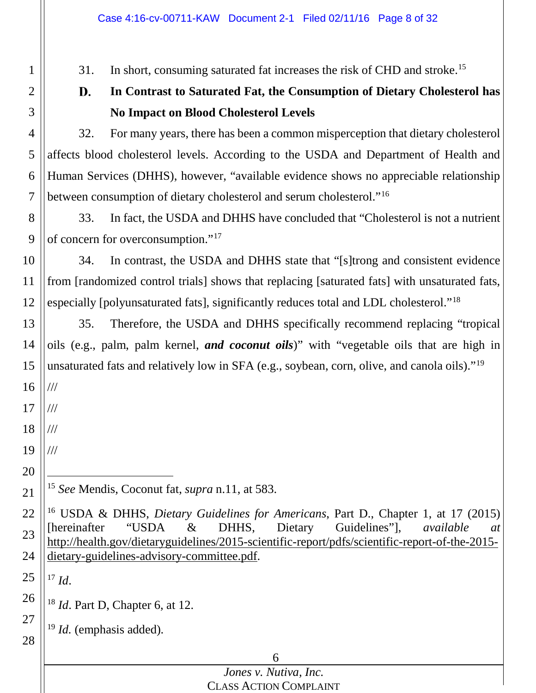31. In short, consuming saturated fat increases the risk of CHD and stroke.<sup>[15](#page-7-0)</sup>

#### <span id="page-7-5"></span>D. **In Contrast to Saturated Fat, the Consumption of Dietary Cholesterol has No Impact on Blood Cholesterol Levels**

4 5 6 7 32. For many years, there has been a common misperception that dietary cholesterol affects blood cholesterol levels. According to the USDA and Department of Health and Human Services (DHHS), however, "available evidence shows no appreciable relationship between consumption of dietary cholesterol and serum cholesterol."<sup>[16](#page-7-1)</sup>

8 9 33. In fact, the USDA and DHHS have concluded that "Cholesterol is not a nutrient of concern for overconsumption."[17](#page-7-2)

10 11 12 34. In contrast, the USDA and DHHS state that "[s]trong and consistent evidence from [randomized control trials] shows that replacing [saturated fats] with unsaturated fats, especially [polyunsaturated fats], significantly reduces total and LDL cholesterol."[18](#page-7-3)

13 14 15 35. Therefore, the USDA and DHHS specifically recommend replacing "tropical oils (e.g., palm, palm kernel, *and coconut oils*)" with "vegetable oils that are high in unsaturated fats and relatively low in SFA (e.g., soybean, corn, olive, and canola oils)."[19](#page-7-4)

16 ///

1

2

3

17 ///

18 ///

19 ///

20

<span id="page-7-0"></span>21

15 *See* Mendis, Coconut fat, *supra* n[.11,](#page-6-8) at 583.

<span id="page-7-1"></span>22 23 24 <sup>16</sup> USDA & DHHS, *Dietary Guidelines for Americans*, Part D., Chapter 1, at 17 (2015) [hereinafter "USDA & DHHS, Dietary Guidelines"], *available at* http://health.gov/dietaryguidelines/2015-scientific-report/pdfs/scientific-report-of-the-2015 dietary-guidelines-advisory-committee.pdf.

<span id="page-7-2"></span>25 <sup>17</sup> *Id*.

<span id="page-7-3"></span>26 <sup>18</sup> *Id*. Part D, Chapter 6, at 12.

<span id="page-7-4"></span>27 28 <sup>19</sup> *Id.* (emphasis added).

#### 6 *Jones v. Nutiva, Inc.*

CLASS ACTION COMPLAINT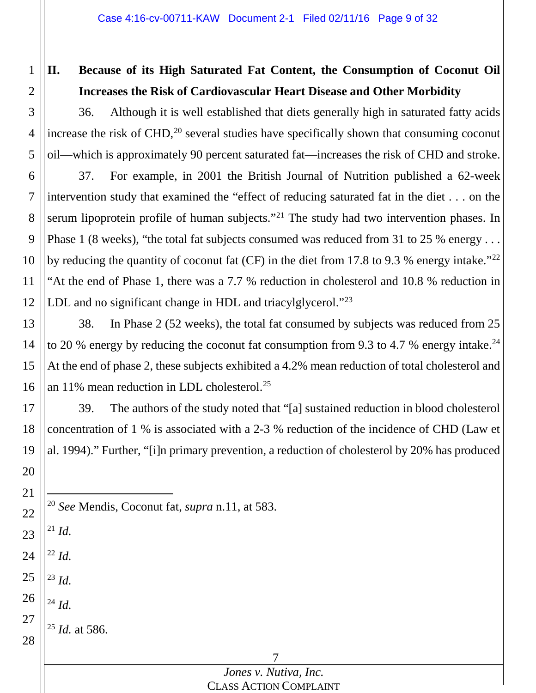# **II. Because of its High Saturated Fat Content, the Consumption of Coconut Oil Increases the Risk of Cardiovascular Heart Disease and Other Morbidity**

3 4 5 36. Although it is well established that diets generally high in saturated fatty acids increase the risk of CHD, [20](#page-8-0) several studies have specifically shown that consuming coconut oil—which is approximately 90 percent saturated fat—increases the risk of CHD and stroke.

6 7 8 9 10 11 12 37. For example, in 2001 the British Journal of Nutrition published a 62-week intervention study that examined the "effect of reducing saturated fat in the diet . . . on the serum lipoprotein profile of human subjects."<sup>[21](#page-8-1)</sup> The study had two intervention phases. In Phase 1 (8 weeks), "the total fat subjects consumed was reduced from 31 to 25 % energy . . . by reducing the quantity of coconut fat (CF) in the diet from 17.8 to 9.3 % energy intake."<sup>[22](#page-8-2)</sup> "At the end of Phase 1, there was a 7.7 % reduction in cholesterol and 10.8 % reduction in LDL and no significant change in HDL and triacylglycerol."<sup>[23](#page-8-3)</sup>

13 14 15 16 38. In Phase 2 (52 weeks), the total fat consumed by subjects was reduced from 25 to 20 % energy by reducing the coconut fat consumption from 9.3 to 4.7 % energy intake.<sup>24</sup> At the end of phase 2, these subjects exhibited a 4.2% mean reduction of total cholesterol and an 11% mean reduction in LDL cholesterol.<sup>[25](#page-8-5)</sup>

17 18 19 20 39. The authors of the study noted that "[a] sustained reduction in blood cholesterol concentration of 1 % is associated with a 2-3 % reduction of the incidence of CHD (Law et al. 1994)." Further, "[i]n primary prevention, a reduction of cholesterol by 20% has produced

- 20 *See* Mendis, Coconut fat, *supra* n[.11,](#page-6-8) at 583.
- <span id="page-8-1"></span>23  $^{21}$  *Id.*

21

<span id="page-8-0"></span>22

1

2

- <span id="page-8-2"></span>24 <sup>22</sup> *Id.*
- <span id="page-8-3"></span>25 <sup>23</sup> *Id.*
- <span id="page-8-4"></span>26 <sup>24</sup> *Id.*
- <span id="page-8-5"></span>27 <sup>25</sup> *Id.* at 586.

28

### *Jones v. Nutiva, Inc.* CLASS ACTION COMPLAINT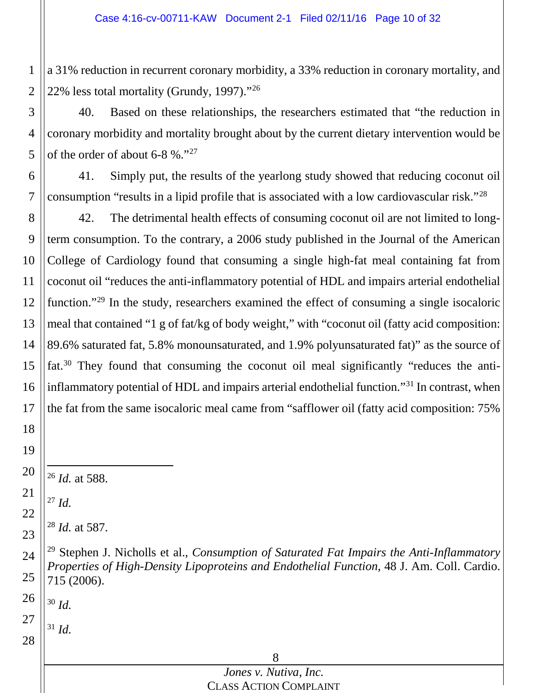a 31% reduction in recurrent coronary morbidity, a 33% reduction in coronary mortality, and 22% less total mortality (Grundy, 1997)."[26](#page-9-0)

 40. Based on these relationships, the researchers estimated that "the reduction in coronary morbidity and mortality brought about by the current dietary intervention would be of the order of about 6-8 %."[27](#page-9-1)

 41. Simply put, the results of the yearlong study showed that reducing coconut oil consumption "results in a lipid profile that is associated with a low cardiovascular risk."[28](#page-9-2)

 42. The detrimental health effects of consuming coconut oil are not limited to longterm consumption. To the contrary, a 2006 study published in the Journal of the American College of Cardiology found that consuming a single high-fat meal containing fat from coconut oil "reduces the anti-inflammatory potential of HDL and impairs arterial endothelial function."<sup>[29](#page-9-3)</sup> In the study, researchers examined the effect of consuming a single isocaloric meal that contained "1 g of fat/kg of body weight," with "coconut oil (fatty acid composition: 89.6% saturated fat, 5.8% monounsaturated, and 1.9% polyunsaturated fat)" as the source of fat.[30](#page-9-4) They found that consuming the coconut oil meal significantly "reduces the anti-inflammatory potential of HDL and impairs arterial endothelial function."<sup>[31](#page-9-5)</sup> In contrast, when the fat from the same isocaloric meal came from "safflower oil (fatty acid composition: 75%

*Id.* at 588.

<span id="page-9-1"></span> *Id.*

<span id="page-9-0"></span>

<span id="page-9-2"></span>

*Id.* at 587.

<span id="page-9-4"></span> *Id.*

<span id="page-9-5"></span> *Id.*

<span id="page-9-3"></span> Stephen J. Nicholls et al., *Consumption of Saturated Fat Impairs the Anti-Inflammatory Properties of High-Density Lipoproteins and Endothelial Function*, 48 J. Am. Coll. Cardio. 715 (2006).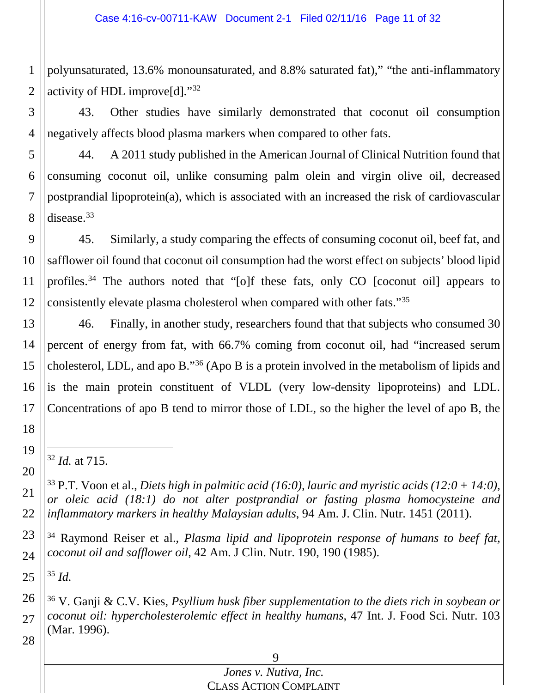1 2 polyunsaturated, 13.6% monounsaturated, and 8.8% saturated fat)," "the anti-inflammatory activity of HDL improve[d]."[32](#page-10-0)

3 4 43. Other studies have similarly demonstrated that coconut oil consumption negatively affects blood plasma markers when compared to other fats.

5 6 7 8 44. A 2011 study published in the American Journal of Clinical Nutrition found that consuming coconut oil, unlike consuming palm olein and virgin olive oil, decreased postprandial lipoprotein(a), which is associated with an increased the risk of cardiovascular disease[.33](#page-10-1)

9 10 11 12 45. Similarly, a study comparing the effects of consuming coconut oil, beef fat, and safflower oil found that coconut oil consumption had the worst effect on subjects' blood lipid profiles.<sup>[34](#page-10-2)</sup> The authors noted that "[o]f these fats, only CO [coconut oil] appears to consistently elevate plasma cholesterol when compared with other fats."[35](#page-10-3)

13 14 15 16 17 46. Finally, in another study, researchers found that that subjects who consumed 30 percent of energy from fat, with 66.7% coming from coconut oil, had "increased serum cholesterol, LDL, and apo B."[36](#page-10-4) (Apo B is a protein involved in the metabolism of lipids and is the main protein constituent of VLDL (very low-density lipoproteins) and LDL. Concentrations of apo B tend to mirror those of LDL, so the higher the level of apo B, the

32 *Id.* at 715.

<sup>33</sup> P.T. Voon et al., *Diets high in palmitic acid (16:0), lauric and myristic acids (12:0 + 14:0), or oleic acid (18:1) do not alter postprandial or fasting plasma homocysteine and inflammatory markers in healthy Malaysian adults*, 94 Am. J. Clin. Nutr. 1451 (2011).

<span id="page-10-2"></span>23 24 <sup>34</sup> Raymond Reiser et al., *Plasma lipid and lipoprotein response of humans to beef fat, coconut oil and safflower oil*, 42 Am. J Clin. Nutr. 190, 190 (1985).

<span id="page-10-3"></span>25 <sup>35</sup> *Id.*

18

<span id="page-10-0"></span>19

20

<span id="page-10-1"></span>21

22

<span id="page-10-4"></span>26 27 28 <sup>36</sup> V. Ganji & C.V. Kies, *Psyllium husk fiber supplementation to the diets rich in soybean or coconut oil: hypercholesterolemic effect in healthy humans*, 47 Int. J. Food Sci. Nutr. 103 (Mar. 1996).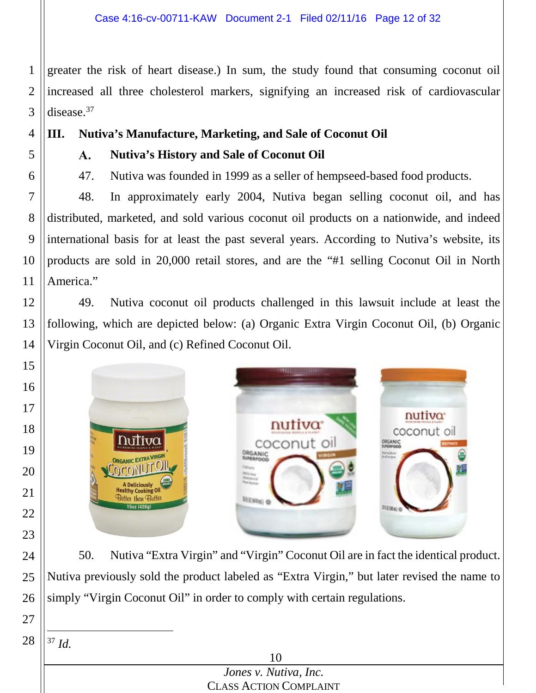1 2 3 greater the risk of heart disease.) In sum, the study found that consuming coconut oil increased all three cholesterol markers, signifying an increased risk of cardiovascular disease.<sup>37</sup>

4 5

6

- **III. Nutiva's Manufacture, Marketing, and Sale of Coconut Oil**
	- $\mathbf{A}$ . **Nutiva's History and Sale of Coconut Oil**
	- 47. Nutiva was founded in 1999 as a seller of hempseed-based food products.

7 8 9 10 11 48. In approximately early 2004, Nutiva began selling coconut oil, and has distributed, marketed, and sold various coconut oil products on a nationwide, and indeed international basis for at least the past several years. According to Nutiva's website, its products are sold in 20,000 retail stores, and are the "#1 selling Coconut Oil in North America."

12 13 14 49. Nutiva coconut oil products challenged in this lawsuit include at least the following, which are depicted below: (a) Organic Extra Virgin Coconut Oil, (b) Organic Virgin Coconut Oil, and (c) Refined Coconut Oil.



24 25 26 50. Nutiva "Extra Virgin" and "Virgin" Coconut Oil are in fact the identical product. Nutiva previously sold the product labeled as "Extra Virgin," but later revised the name to simply "Virgin Coconut Oil" in order to comply with certain regulations.

<span id="page-11-0"></span>28 37 *Id.*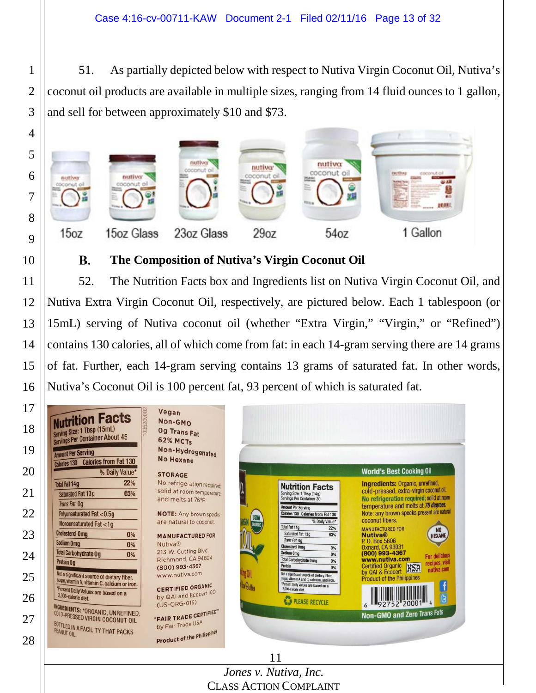51. As partially depicted below with respect to Nutiva Virgin Coconut Oil, Nutiva's coconut oil products are available in multiple sizes, ranging from 14 fluid ounces to 1 gallon, and sell for between approximately \$10 and \$73.



#### **The Composition of Nutiva's Virgin Coconut Oil** В.

 52. The Nutrition Facts box and Ingredients list on Nutiva Virgin Coconut Oil, and Nutiva Extra Virgin Coconut Oil, respectively, are pictured below. Each 1 tablespoon (or 15mL) serving of Nutiva coconut oil (whether "Extra Virgin," "Virgin," or "Refined") contains 130 calories, all of which come from fat: in each 14-gram serving there are 14 grams of fat. Further, each 14-gram serving contains 13 grams of saturated fat. In other words, Nutiva's Coconut Oil is 100 percent fat, 93 percent of which is saturated fat.

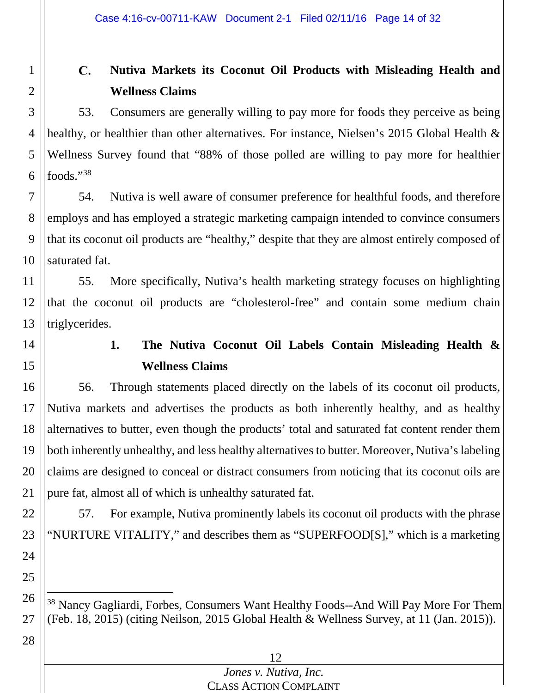#### C. **Nutiva Markets its Coconut Oil Products with Misleading Health and Wellness Claims**

53. Consumers are generally willing to pay more for foods they perceive as being healthy, or healthier than other alternatives. For instance, Nielsen's 2015 Global Health & Wellness Survey found that "88% of those polled are willing to pay more for healthier foods."[38](#page-13-0)

7 8 9 10 54. Nutiva is well aware of consumer preference for healthful foods, and therefore employs and has employed a strategic marketing campaign intended to convince consumers that its coconut oil products are "healthy," despite that they are almost entirely composed of saturated fat.

11 12 13 55. More specifically, Nutiva's health marketing strategy focuses on highlighting that the coconut oil products are "cholesterol-free" and contain some medium chain triglycerides.

14

15

22

23

24

25

28

1

2

3

4

5

6

**1. The Nutiva Coconut Oil Labels Contain Misleading Health & Wellness Claims**

16 17 18 19 20 21 56. Through statements placed directly on the labels of its coconut oil products, Nutiva markets and advertises the products as both inherently healthy, and as healthy alternatives to butter, even though the products' total and saturated fat content render them both inherently unhealthy, and less healthy alternatives to butter. Moreover, Nutiva's labeling claims are designed to conceal or distract consumers from noticing that its coconut oils are pure fat, almost all of which is unhealthy saturated fat.

57. For example, Nutiva prominently labels its coconut oil products with the phrase "NURTURE VITALITY," and describes them as "SUPERFOOD[S]," which is a marketing

<span id="page-13-0"></span>26 27 <sup>38</sup> Nancy Gagliardi, Forbes, Consumers Want Healthy Foods--And Will Pay More For Them (Feb. 18, 2015) (citing Neilson, 2015 Global Health & Wellness Survey, at 11 (Jan. 2015)).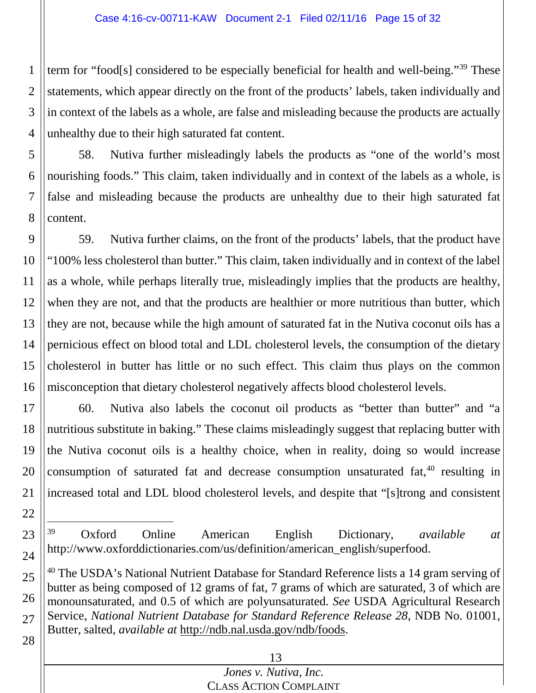1 2 3 4 term for "food[s] considered to be especially beneficial for health and well-being."<sup>[39](#page-14-0)</sup> These statements, which appear directly on the front of the products' labels, taken individually and in context of the labels as a whole, are false and misleading because the products are actually unhealthy due to their high saturated fat content.

5 6 7 8 58. Nutiva further misleadingly labels the products as "one of the world's most nourishing foods." This claim, taken individually and in context of the labels as a whole, is false and misleading because the products are unhealthy due to their high saturated fat content.

9 10 11 12 13 14 15 16 59. Nutiva further claims, on the front of the products' labels, that the product have "100% less cholesterol than butter." This claim, taken individually and in context of the label as a whole, while perhaps literally true, misleadingly implies that the products are healthy, when they are not, and that the products are healthier or more nutritious than butter, which they are not, because while the high amount of saturated fat in the Nutiva coconut oils has a pernicious effect on blood total and LDL cholesterol levels, the consumption of the dietary cholesterol in butter has little or no such effect. This claim thus plays on the common misconception that dietary cholesterol negatively affects blood cholesterol levels.

17 18 19 20 21 60. Nutiva also labels the coconut oil products as "better than butter" and "a nutritious substitute in baking." These claims misleadingly suggest that replacing butter with the Nutiva coconut oils is a healthy choice, when in reality, doing so would increase consumption of saturated fat and decrease consumption unsaturated fat, [40](#page-14-1) resulting in increased total and LDL blood cholesterol levels, and despite that "[s]trong and consistent

 39 Oxford Online American English Dictionary, *available at* http://www.oxforddictionaries.com/us/definition/american\_english/superfood.

22

<span id="page-14-0"></span>23

24

<span id="page-14-1"></span>25 26 27 28 <sup>40</sup> The USDA's National Nutrient Database for Standard Reference lists a 14 gram serving of butter as being composed of 12 grams of fat, 7 grams of which are saturated, 3 of which are monounsaturated, and 0.5 of which are polyunsaturated. *See* USDA Agricultural Research Service, *National Nutrient Database for Standard Reference Release 28*, NDB No. 01001, Butter, salted, *available at* http://ndb.nal.usda.gov/ndb/foods.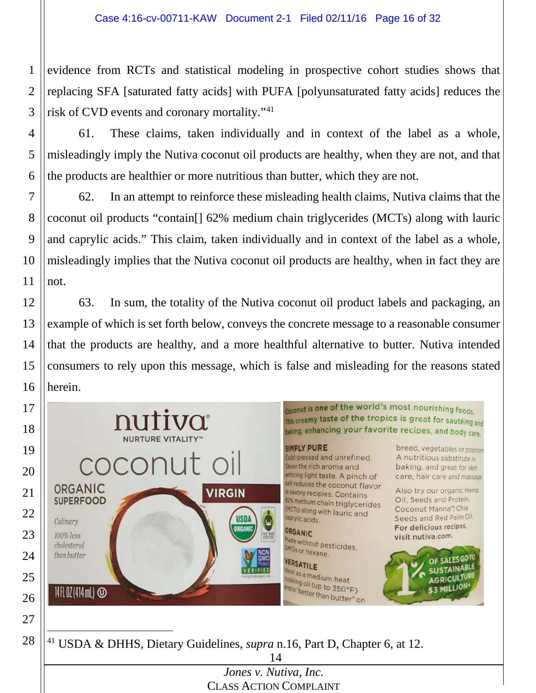evidence from RCTs and statistical modeling in prospective cohort studies shows that replacing SFA [saturated fatty acids] with PUFA [polyunsaturated fatty acids] reduces the risk of CVD events and coronary mortality."[41](#page-15-0)

 61. These claims, taken individually and in context of the label as a whole, misleadingly imply the Nutiva coconut oil products are healthy, when they are not, and that the products are healthier or more nutritious than butter, which they are not.

 62. In an attempt to reinforce these misleading health claims, Nutiva claims that the coconut oil products "contain[] 62% medium chain triglycerides (MCTs) along with lauric and caprylic acids." This claim, taken individually and in context of the label as a whole, misleadingly implies that the Nutiva coconut oil products are healthy, when in fact they are not.

 63. In sum, the totality of the Nutiva coconut oil product labels and packaging, an example of which is set forth below, conveys the concrete message to a reasonable consumer that the products are healthy, and a more healthful alternative to butter. Nutiva intended consumers to rely upon this message, which is false and misleading for the reasons stated herein.

<span id="page-15-0"></span>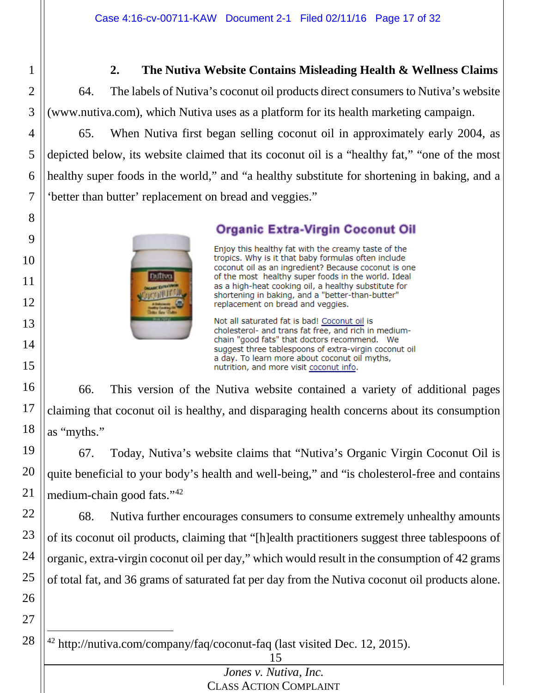### **2. The Nutiva Website Contains Misleading Health & Wellness Claims**

64. The labels of Nutiva's coconut oil products direct consumers to Nutiva's website (www.nutiva.com), which Nutiva uses as a platform for its health marketing campaign.

1

2

3

4

5

6

7

8

9

10

11

12

13

14

15

16

17

18

26

27

65. When Nutiva first began selling coconut oil in approximately early 2004, as depicted below, its website claimed that its coconut oil is a "healthy fat," "one of the most healthy super foods in the world," and "a healthy substitute for shortening in baking, and a 'better than butter' replacement on bread and veggies."

Dufftva

### **Organic Extra-Virgin Coconut Oil**

Enjoy this healthy fat with the creamy taste of the tropics. Why is it that baby formulas often include coconut oil as an ingredient? Because coconut is one of the most healthy super foods in the world. Ideal as a high-heat cooking oil, a healthy substitute for shortening in baking, and a "better-than-butter" replacement on bread and veggies.

Not all saturated fat is bad! Coconut oil is cholesterol- and trans fat free, and rich in mediumchain "good fats" that doctors recommend. We suggest three tablespoons of extra-virgin coconut oil a day. To learn more about coconut oil myths, nutrition, and more visit coconut info.

66. This version of the Nutiva website contained a variety of additional pages claiming that coconut oil is healthy, and disparaging health concerns about its consumption as "myths."

19 20 21 67. Today, Nutiva's website claims that "Nutiva's Organic Virgin Coconut Oil is quite beneficial to your body's health and well-being," and "is cholesterol-free and contains medium-chain good fats."[42](#page-16-0)

22 23 24 25 68. Nutiva further encourages consumers to consume extremely unhealthy amounts of its coconut oil products, claiming that "[h]ealth practitioners suggest three tablespoons of organic, extra-virgin coconut oil per day," which would result in the consumption of 42 grams of total fat, and 36 grams of saturated fat per day from the Nutiva coconut oil products alone.

<span id="page-16-0"></span>28 42 http://nutiva.com/company/faq/coconut-faq (last visited Dec. 12, 2015).

15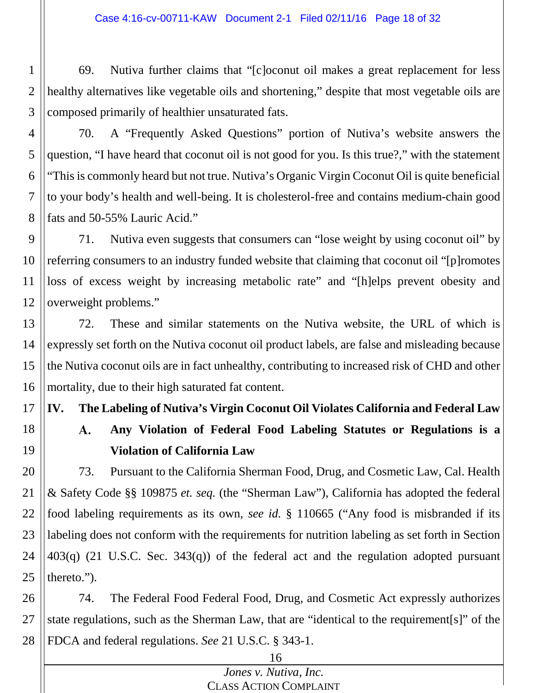1 2 3 69. Nutiva further claims that "[c]oconut oil makes a great replacement for less healthy alternatives like vegetable oils and shortening," despite that most vegetable oils are composed primarily of healthier unsaturated fats.

4

5 6 7 8 70. A "Frequently Asked Questions" portion of Nutiva's website answers the question, "I have heard that coconut oil is not good for you. Is this true?," with the statement "This is commonly heard but not true. Nutiva's Organic Virgin Coconut Oil is quite beneficial to your body's health and well-being. It is cholesterol-free and contains medium-chain good fats and 50-55% Lauric Acid."

9 10 11 12 71. Nutiva even suggests that consumers can "lose weight by using coconut oil" by referring consumers to an industry funded website that claiming that coconut oil "[p]romotes loss of excess weight by increasing metabolic rate" and "[h]elps prevent obesity and overweight problems."

13 14 15 16 72. These and similar statements on the Nutiva website, the URL of which is expressly set forth on the Nutiva coconut oil product labels, are false and misleading because the Nutiva coconut oils are in fact unhealthy, contributing to increased risk of CHD and other mortality, due to their high saturated fat content.

17 **IV. The Labeling of Nutiva's Virgin Coconut Oil Violates California and Federal Law**

18 19

### **Any Violation of Federal Food Labeling Statutes or Regulations is a**  A.

### **Violation of California Law**

20 21 22 23 24 25 73. Pursuant to the California Sherman Food, Drug, and Cosmetic Law, Cal. Health & Safety Code §§ 109875 *et. seq.* (the "Sherman Law"), California has adopted the federal food labeling requirements as its own, *see id.* § 110665 ("Any food is misbranded if its labeling does not conform with the requirements for nutrition labeling as set forth in Section 403(q) (21 U.S.C. Sec. 343(q)) of the federal act and the regulation adopted pursuant thereto.").

26 27 28 74. The Federal Food Federal Food, Drug, and Cosmetic Act expressly authorizes state regulations, such as the Sherman Law, that are "identical to the requirement[s]" of the FDCA and federal regulations. *See* 21 U.S.C. § 343-1.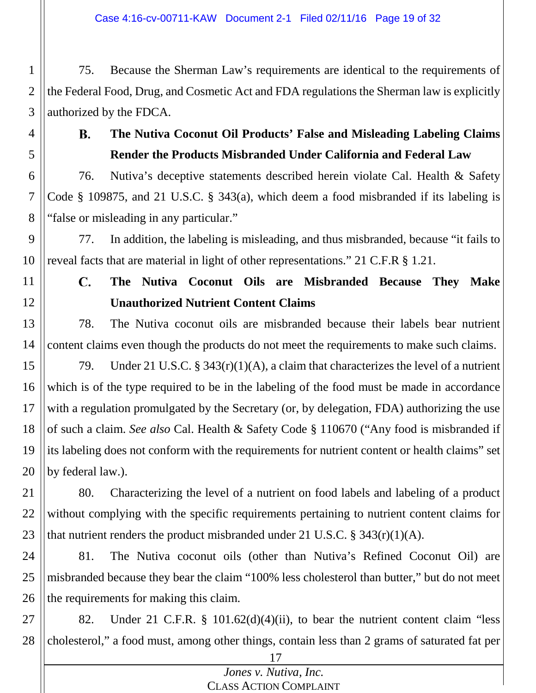1 2 3 75. Because the Sherman Law's requirements are identical to the requirements of the Federal Food, Drug, and Cosmetic Act and FDA regulations the Sherman law is explicitly authorized by the FDCA.

**B.** 

4

5

# **The Nutiva Coconut Oil Products' False and Misleading Labeling Claims Render the Products Misbranded Under California and Federal Law**

6 7 8 76. Nutiva's deceptive statements described herein violate Cal. Health & Safety Code § 109875, and 21 U.S.C. § 343(a), which deem a food misbranded if its labeling is "false or misleading in any particular."

9 10 77. In addition, the labeling is misleading, and thus misbranded, because "it fails to reveal facts that are material in light of other representations." 21 C.F.R § 1.21.

11 12

#### **The Nutiva Coconut Oils are Misbranded Because They Make**  C. **Unauthorized Nutrient Content Claims**

13 14 78. The Nutiva coconut oils are misbranded because their labels bear nutrient content claims even though the products do not meet the requirements to make such claims.

15 16 17 18 19 20 79. Under 21 U.S.C. § 343(r)(1)(A), a claim that characterizes the level of a nutrient which is of the type required to be in the labeling of the food must be made in accordance with a regulation promulgated by the Secretary (or, by delegation, FDA) authorizing the use of such a claim. *See also* Cal. Health & Safety Code § 110670 ("Any food is misbranded if its labeling does not conform with the requirements for nutrient content or health claims" set by federal law.).

21 22 23 80. Characterizing the level of a nutrient on food labels and labeling of a product without complying with the specific requirements pertaining to nutrient content claims for that nutrient renders the product misbranded under 21 U.S.C.  $\S$  343(r)(1)(A).

24 25 26 81. The Nutiva coconut oils (other than Nutiva's Refined Coconut Oil) are misbranded because they bear the claim "100% less cholesterol than butter," but do not meet the requirements for making this claim.

27 28 82. Under 21 C.F.R. § 101.62(d)(4)(ii), to bear the nutrient content claim "less cholesterol," a food must, among other things, contain less than 2 grams of saturated fat per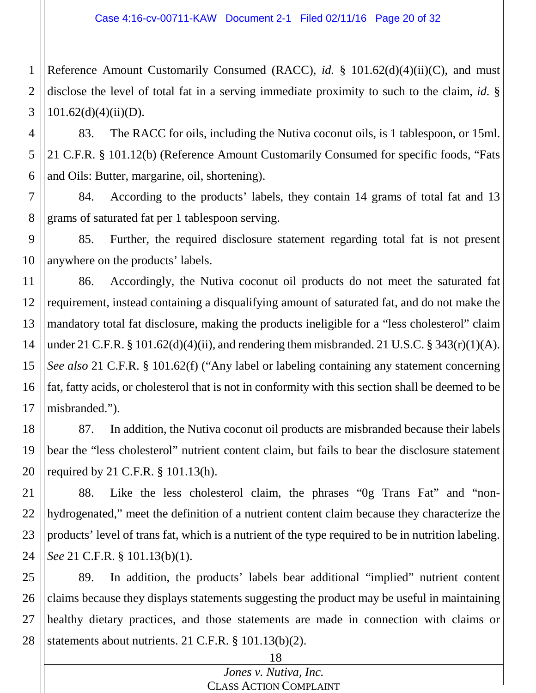1 2 3 Reference Amount Customarily Consumed (RACC), *id.* § 101.62(d)(4)(ii)(C), and must disclose the level of total fat in a serving immediate proximity to such to the claim, *id.* §  $101.62(d)(4)(ii)(D)$ .

4 5 6 83. The RACC for oils, including the Nutiva coconut oils, is 1 tablespoon, or 15ml. 21 C.F.R. § 101.12(b) (Reference Amount Customarily Consumed for specific foods, "Fats and Oils: Butter, margarine, oil, shortening).

7 8 84. According to the products' labels, they contain 14 grams of total fat and 13 grams of saturated fat per 1 tablespoon serving.

9 10 85. Further, the required disclosure statement regarding total fat is not present anywhere on the products' labels.

11 12 13 14 15 16 17 86. Accordingly, the Nutiva coconut oil products do not meet the saturated fat requirement, instead containing a disqualifying amount of saturated fat, and do not make the mandatory total fat disclosure, making the products ineligible for a "less cholesterol" claim under 21 C.F.R. § 101.62(d)(4)(ii), and rendering them misbranded. 21 U.S.C. § 343(r)(1)(A). *See also* 21 C.F.R. § 101.62(f) ("Any label or labeling containing any statement concerning fat, fatty acids, or cholesterol that is not in conformity with this section shall be deemed to be misbranded.").

18 19 20 87. In addition, the Nutiva coconut oil products are misbranded because their labels bear the "less cholesterol" nutrient content claim, but fails to bear the disclosure statement required by 21 C.F.R. § 101.13(h).

21 22 23 24 88. Like the less cholesterol claim, the phrases "0g Trans Fat" and "nonhydrogenated," meet the definition of a nutrient content claim because they characterize the products' level of trans fat, which is a nutrient of the type required to be in nutrition labeling. *See* 21 C.F.R. § 101.13(b)(1).

25 26 27 28 89. In addition, the products' labels bear additional "implied" nutrient content claims because they displays statements suggesting the product may be useful in maintaining healthy dietary practices, and those statements are made in connection with claims or statements about nutrients. 21 C.F.R. § 101.13(b)(2).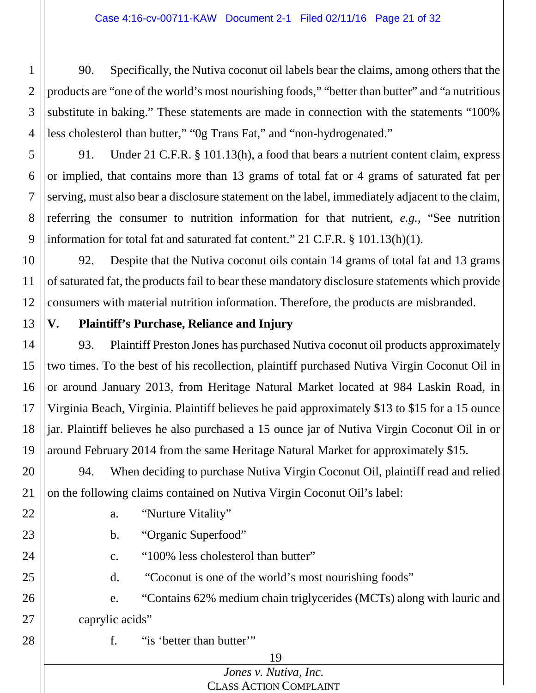1 2 3 4 90. Specifically, the Nutiva coconut oil labels bear the claims, among others that the products are "one of the world's most nourishing foods," "better than butter" and "a nutritious substitute in baking." These statements are made in connection with the statements "100% less cholesterol than butter," "0g Trans Fat," and "non-hydrogenated."

5 6 7 8 9 91. Under 21 C.F.R. § 101.13(h), a food that bears a nutrient content claim, express or implied, that contains more than 13 grams of total fat or 4 grams of saturated fat per serving, must also bear a disclosure statement on the label, immediately adjacent to the claim, referring the consumer to nutrition information for that nutrient, *e.g.*, "See nutrition information for total fat and saturated fat content." 21 C.F.R. § 101.13(h)(1).

10 11 12 92. Despite that the Nutiva coconut oils contain 14 grams of total fat and 13 grams of saturated fat, the products fail to bear these mandatory disclosure statements which provide consumers with material nutrition information. Therefore, the products are misbranded.

13 **V. Plaintiff's Purchase, Reliance and Injury**

14 15 16 17 18 19 93. Plaintiff Preston Jones has purchased Nutiva coconut oil products approximately two times. To the best of his recollection, plaintiff purchased Nutiva Virgin Coconut Oil in or around January 2013, from Heritage Natural Market located at 984 Laskin Road, in Virginia Beach, Virginia. Plaintiff believes he paid approximately \$13 to \$15 for a 15 ounce jar. Plaintiff believes he also purchased a 15 ounce jar of Nutiva Virgin Coconut Oil in or around February 2014 from the same Heritage Natural Market for approximately \$15.

20 21 94. When deciding to purchase Nutiva Virgin Coconut Oil, plaintiff read and relied on the following claims contained on Nutiva Virgin Coconut Oil's label:

22 23

- a. "Nurture Vitality"
- b. "Organic Superfood"
	- c. "100% less cholesterol than butter"
- 25

24

d. "Coconut is one of the world's most nourishing foods"

26 27 e. "Contains 62% medium chain triglycerides (MCTs) along with lauric and caprylic acids"

28

f. "is 'better than butter'"

### 19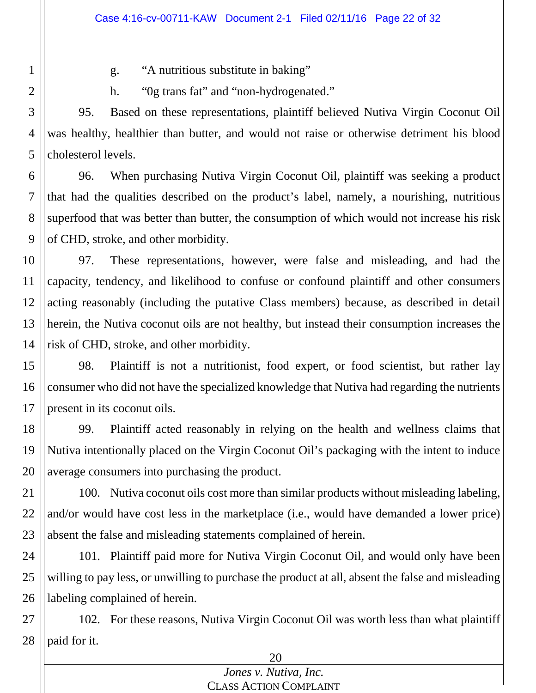g. "A nutritious substitute in baking"

1

2

h. "0g trans fat" and "non-hydrogenated."

3 4 5 95. Based on these representations, plaintiff believed Nutiva Virgin Coconut Oil was healthy, healthier than butter, and would not raise or otherwise detriment his blood cholesterol levels.

6 7 8 9 96. When purchasing Nutiva Virgin Coconut Oil, plaintiff was seeking a product that had the qualities described on the product's label, namely, a nourishing, nutritious superfood that was better than butter, the consumption of which would not increase his risk of CHD, stroke, and other morbidity.

10 11 12 13 14 97. These representations, however, were false and misleading, and had the capacity, tendency, and likelihood to confuse or confound plaintiff and other consumers acting reasonably (including the putative Class members) because, as described in detail herein, the Nutiva coconut oils are not healthy, but instead their consumption increases the risk of CHD, stroke, and other morbidity.

15 16 17 98. Plaintiff is not a nutritionist, food expert, or food scientist, but rather lay consumer who did not have the specialized knowledge that Nutiva had regarding the nutrients present in its coconut oils.

18 19 20 99. Plaintiff acted reasonably in relying on the health and wellness claims that Nutiva intentionally placed on the Virgin Coconut Oil's packaging with the intent to induce average consumers into purchasing the product.

21 22 23 100. Nutiva coconut oils cost more than similar products without misleading labeling, and/or would have cost less in the marketplace (i.e., would have demanded a lower price) absent the false and misleading statements complained of herein.

24 25 26 101. Plaintiff paid more for Nutiva Virgin Coconut Oil, and would only have been willing to pay less, or unwilling to purchase the product at all, absent the false and misleading labeling complained of herein.

27 28 102. For these reasons, Nutiva Virgin Coconut Oil was worth less than what plaintiff paid for it.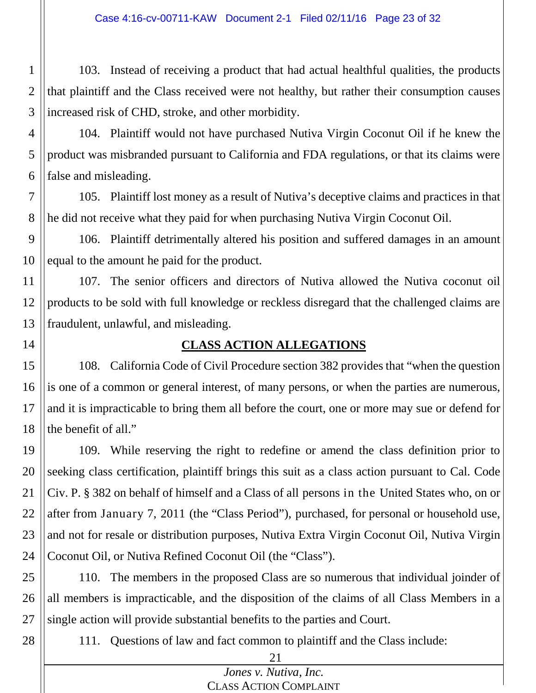1 2 3 103. Instead of receiving a product that had actual healthful qualities, the products that plaintiff and the Class received were not healthy, but rather their consumption causes increased risk of CHD, stroke, and other morbidity.

- 4 5 6 104. Plaintiff would not have purchased Nutiva Virgin Coconut Oil if he knew the product was misbranded pursuant to California and FDA regulations, or that its claims were false and misleading.
- 7 8 105. Plaintiff lost money as a result of Nutiva's deceptive claims and practices in that he did not receive what they paid for when purchasing Nutiva Virgin Coconut Oil.

9 10 106. Plaintiff detrimentally altered his position and suffered damages in an amount equal to the amount he paid for the product.

11 12 13 107. The senior officers and directors of Nutiva allowed the Nutiva coconut oil products to be sold with full knowledge or reckless disregard that the challenged claims are fraudulent, unlawful, and misleading.

14

## **CLASS ACTION ALLEGATIONS**

15 16 17 18 108. California Code of Civil Procedure section 382 provides that "when the question is one of a common or general interest, of many persons, or when the parties are numerous, and it is impracticable to bring them all before the court, one or more may sue or defend for the benefit of all."

19 20 21 22 23 24 109. While reserving the right to redefine or amend the class definition prior to seeking class certification, plaintiff brings this suit as a class action pursuant to Cal. Code Civ. P. § 382 on behalf of himself and a Class of all persons in the United States who, on or after from January 7, 2011 (the "Class Period"), purchased, for personal or household use, and not for resale or distribution purposes, Nutiva Extra Virgin Coconut Oil, Nutiva Virgin Coconut Oil, or Nutiva Refined Coconut Oil (the "Class").

25 26 27 110. The members in the proposed Class are so numerous that individual joinder of all members is impracticable, and the disposition of the claims of all Class Members in a single action will provide substantial benefits to the parties and Court.

28

111. Questions of law and fact common to plaintiff and the Class include: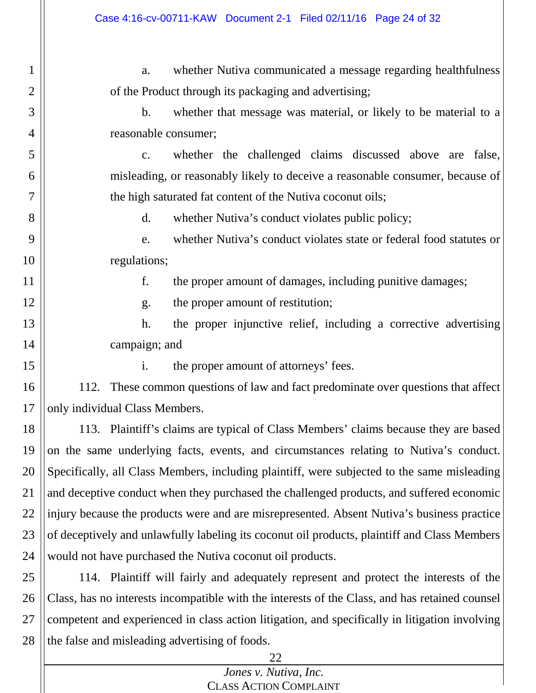a. whether Nutiva communicated a message regarding healthfulness of the Product through its packaging and advertising;

b. whether that message was material, or likely to be material to a reasonable consumer;

c. whether the challenged claims discussed above are false, misleading, or reasonably likely to deceive a reasonable consumer, because of the high saturated fat content of the Nutiva coconut oils;

d. whether Nutiva's conduct violates public policy;

e. whether Nutiva's conduct violates state or federal food statutes or regulations;

f. the proper amount of damages, including punitive damages;

g. the proper amount of restitution;

h. the proper injunctive relief, including a corrective advertising campaign; and

15

1

2

3

4

5

6

7

8

9

10

11

12

13

14

i. the proper amount of attorneys' fees.

16 17 112. These common questions of law and fact predominate over questions that affect only individual Class Members.

18 19 20 21 22 23 24 113. Plaintiff's claims are typical of Class Members' claims because they are based on the same underlying facts, events, and circumstances relating to Nutiva's conduct. Specifically, all Class Members, including plaintiff, were subjected to the same misleading and deceptive conduct when they purchased the challenged products, and suffered economic injury because the products were and are misrepresented. Absent Nutiva's business practice of deceptively and unlawfully labeling its coconut oil products, plaintiff and Class Members would not have purchased the Nutiva coconut oil products.

25 26 27 28 114. Plaintiff will fairly and adequately represent and protect the interests of the Class, has no interests incompatible with the interests of the Class, and has retained counsel competent and experienced in class action litigation, and specifically in litigation involving the false and misleading advertising of foods.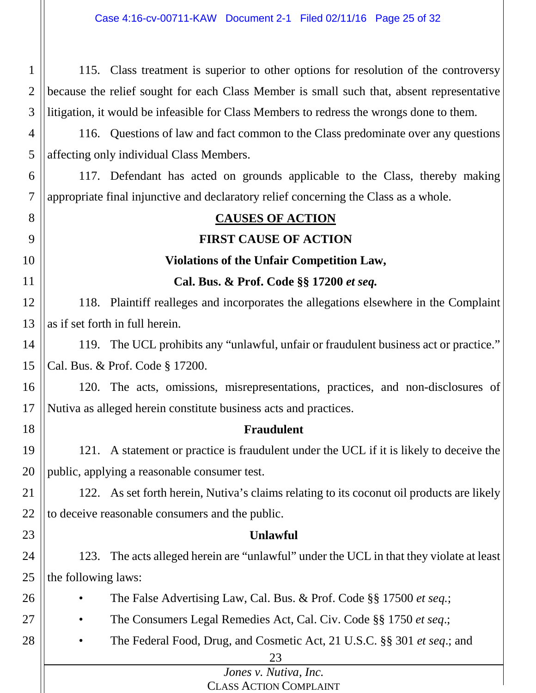| $1 \parallel$ | 115. Class treatment is superior to other options for resolution of the controversy            |
|---------------|------------------------------------------------------------------------------------------------|
|               | 2    because the relief sought for each Class Member is small such that, absent representative |
|               | 3 litigation, it would be infeasible for Class Members to redress the wrongs done to them.     |

4 5 116. Questions of law and fact common to the Class predominate over any questions affecting only individual Class Members.

6  $\overline{7}$ 117. Defendant has acted on grounds applicable to the Class, thereby making appropriate final injunctive and declaratory relief concerning the Class as a whole.

| $\prime$ | appropriate final infunctive and declaratory reflect concerning the Class as a whole. |                                                                                           |  |
|----------|---------------------------------------------------------------------------------------|-------------------------------------------------------------------------------------------|--|
| 8        |                                                                                       | <b>CAUSES OF ACTION</b>                                                                   |  |
| 9        |                                                                                       | <b>FIRST CAUSE OF ACTION</b>                                                              |  |
| 10       | Violations of the Unfair Competition Law,                                             |                                                                                           |  |
| 11       | Cal. Bus. & Prof. Code §§ 17200 et seq.                                               |                                                                                           |  |
| 12       |                                                                                       | 118. Plaintiff realleges and incorporates the allegations elsewhere in the Complaint      |  |
| 13       | as if set forth in full herein.                                                       |                                                                                           |  |
| 14       |                                                                                       | 119. The UCL prohibits any "unlawful, unfair or fraudulent business act or practice."     |  |
| 15       | Cal. Bus. & Prof. Code § 17200.                                                       |                                                                                           |  |
| 16       |                                                                                       | 120. The acts, omissions, misrepresentations, practices, and non-disclosures of           |  |
| 17       | Nutiva as alleged herein constitute business acts and practices.                      |                                                                                           |  |
| 18       |                                                                                       | <b>Fraudulent</b>                                                                         |  |
| 19       |                                                                                       | 121. A statement or practice is fraudulent under the UCL if it is likely to deceive the   |  |
| 20       | public, applying a reasonable consumer test.                                          |                                                                                           |  |
| 21       |                                                                                       | 122. As set forth herein, Nutiva's claims relating to its coconut oil products are likely |  |
| 22       | to deceive reasonable consumers and the public.                                       |                                                                                           |  |
| 23       |                                                                                       | <b>Unlawful</b>                                                                           |  |
| 24       |                                                                                       | 123. The acts alleged herein are "unlawful" under the UCL in that they violate at least   |  |
| 25       | the following laws:                                                                   |                                                                                           |  |
| 26       |                                                                                       | The False Advertising Law, Cal. Bus. & Prof. Code §§ 17500 et seq.;                       |  |
| 27       |                                                                                       | The Consumers Legal Remedies Act, Cal. Civ. Code §§ 1750 et seq.;                         |  |
| 28       |                                                                                       | The Federal Food, Drug, and Cosmetic Act, 21 U.S.C. §§ 301 <i>et seq.</i> ; and           |  |
|          |                                                                                       | 23                                                                                        |  |
|          | Jones v. Nutiva, Inc.                                                                 |                                                                                           |  |
|          |                                                                                       | <b>CLASS ACTION COMPLAINT</b>                                                             |  |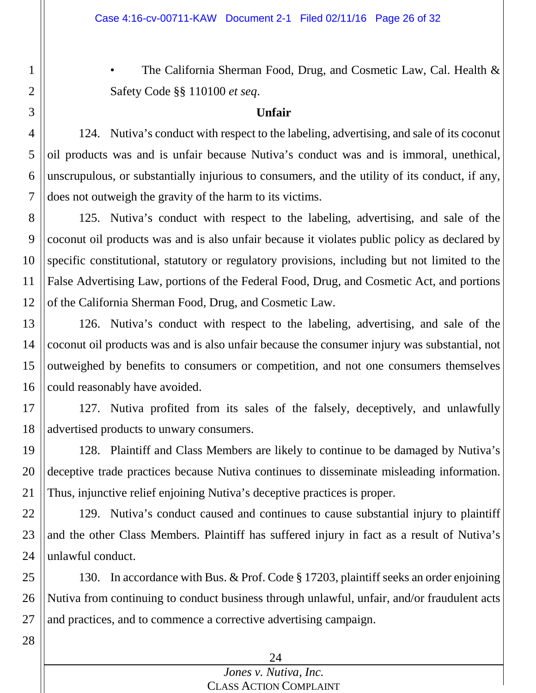• The California Sherman Food, Drug, and Cosmetic Law, Cal. Health & Safety Code §§ 110100 *et seq*.

### **Unfair**

124. Nutiva's conduct with respect to the labeling, advertising, and sale of its coconut oil products was and is unfair because Nutiva's conduct was and is immoral, unethical, unscrupulous, or substantially injurious to consumers, and the utility of its conduct, if any, does not outweigh the gravity of the harm to its victims.

8 9 10 11 12 125. Nutiva's conduct with respect to the labeling, advertising, and sale of the coconut oil products was and is also unfair because it violates public policy as declared by specific constitutional, statutory or regulatory provisions, including but not limited to the False Advertising Law, portions of the Federal Food, Drug, and Cosmetic Act, and portions of the California Sherman Food, Drug, and Cosmetic Law.

13 14 15 16 126. Nutiva's conduct with respect to the labeling, advertising, and sale of the coconut oil products was and is also unfair because the consumer injury was substantial, not outweighed by benefits to consumers or competition, and not one consumers themselves could reasonably have avoided.

17 18 127. Nutiva profited from its sales of the falsely, deceptively, and unlawfully advertised products to unwary consumers.

19 20 21 128. Plaintiff and Class Members are likely to continue to be damaged by Nutiva's deceptive trade practices because Nutiva continues to disseminate misleading information. Thus, injunctive relief enjoining Nutiva's deceptive practices is proper.

22 23 24 129. Nutiva's conduct caused and continues to cause substantial injury to plaintiff and the other Class Members. Plaintiff has suffered injury in fact as a result of Nutiva's unlawful conduct.

25 26 130. In accordance with Bus. & Prof. Code § 17203, plaintiff seeks an order enjoining Nutiva from continuing to conduct business through unlawful, unfair, and/or fraudulent acts and practices, and to commence a corrective advertising campaign.

1

2

3

4

5

6

7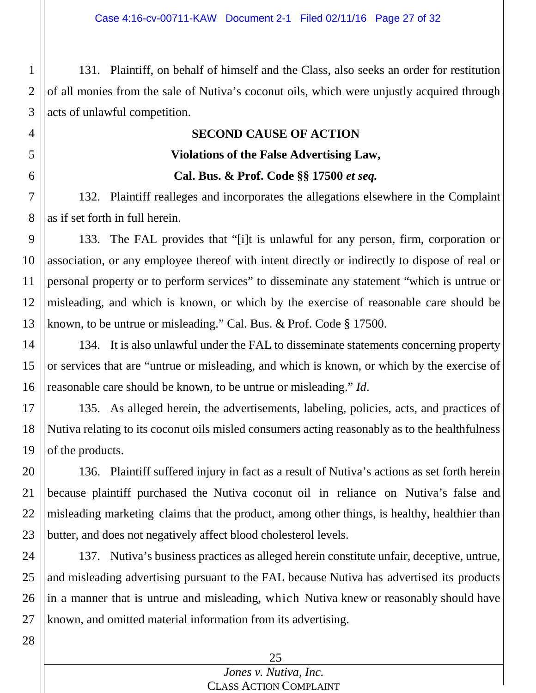2 3 131. Plaintiff, on behalf of himself and the Class, also seeks an order for restitution of all monies from the sale of Nutiva's coconut oils, which were unjustly acquired through acts of unlawful competition.

## **SECOND CAUSE OF ACTION**

### **Violations of the False Advertising Law,**

### **Cal. Bus. & Prof. Code §§ 17500** *et seq.*

7 8 132. Plaintiff realleges and incorporates the allegations elsewhere in the Complaint as if set forth in full herein.

9 10 11 12 13 133. The FAL provides that "[i]t is unlawful for any person, firm, corporation or association, or any employee thereof with intent directly or indirectly to dispose of real or personal property or to perform services" to disseminate any statement "which is untrue or misleading, and which is known, or which by the exercise of reasonable care should be known, to be untrue or misleading." Cal. Bus. & Prof. Code § 17500.

14 15 16 134. It is also unlawful under the FAL to disseminate statements concerning property or services that are "untrue or misleading, and which is known, or which by the exercise of reasonable care should be known, to be untrue or misleading." *Id*.

17 18 19 135. As alleged herein, the advertisements, labeling, policies, acts, and practices of Nutiva relating to its coconut oils misled consumers acting reasonably as to the healthfulness of the products.

20 21 22 23 136. Plaintiff suffered injury in fact as a result of Nutiva's actions as set forth herein because plaintiff purchased the Nutiva coconut oil in reliance on Nutiva's false and misleading marketing claims that the product, among other things, is healthy, healthier than butter, and does not negatively affect blood cholesterol levels.

24 25 26 27 137. Nutiva's business practices as alleged herein constitute unfair, deceptive, untrue, and misleading advertising pursuant to the FAL because Nutiva has advertised its products in a manner that is untrue and misleading, which Nutiva knew or reasonably should have known, and omitted material information from its advertising.

1

4

5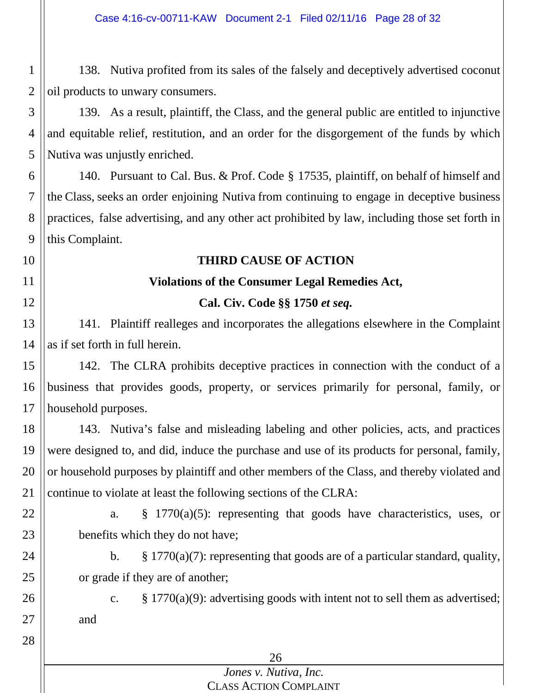1 2 138. Nutiva profited from its sales of the falsely and deceptively advertised coconut oil products to unwary consumers.

3 4 5 139. As a result, plaintiff, the Class, and the general public are entitled to injunctive and equitable relief, restitution, and an order for the disgorgement of the funds by which Nutiva was unjustly enriched.

6 7 8 9 140. Pursuant to Cal. Bus. & Prof. Code § 17535, plaintiff, on behalf of himself and the Class, seeks an order enjoining Nutiva from continuing to engage in deceptive business practices, false advertising, and any other act prohibited by law, including those set forth in this Complaint.

### **THIRD CAUSE OF ACTION**

### **Violations of the Consumer Legal Remedies Act,**

### **Cal. Civ. Code §§ 1750** *et seq.*

13 14 141. Plaintiff realleges and incorporates the allegations elsewhere in the Complaint as if set forth in full herein.

15 16 17 142. The CLRA prohibits deceptive practices in connection with the conduct of a business that provides goods, property, or services primarily for personal, family, or household purposes.

18 19 20 21 143. Nutiva's false and misleading labeling and other policies, acts, and practices were designed to, and did, induce the purchase and use of its products for personal, family, or household purposes by plaintiff and other members of the Class, and thereby violated and continue to violate at least the following sections of the CLRA:

22

10

11

12

a. § 1770(a)(5): representing that goods have characteristics, uses, or benefits which they do not have;

- b.  $\S$  1770(a)(7): representing that goods are of a particular standard, quality, or grade if they are of another;
- 26 27

28

23

24

25

c.  $\S 1770(a)(9)$ : advertising goods with intent not to sell them as advertised; and

26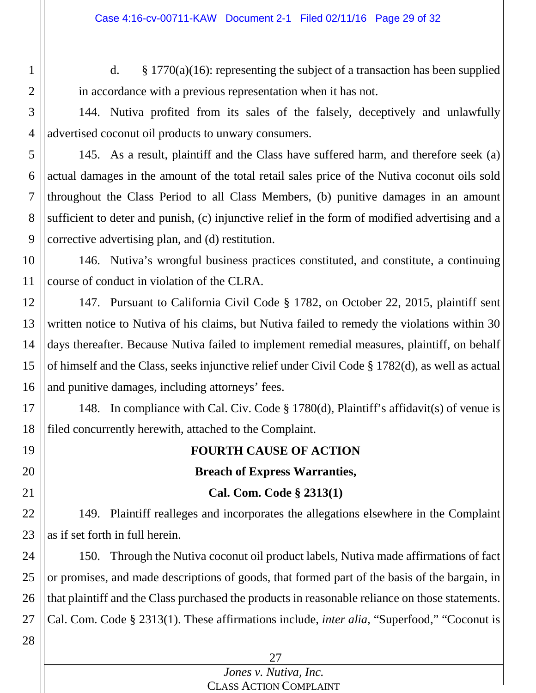d.  $\&$  1770(a)(16): representing the subject of a transaction has been supplied in accordance with a previous representation when it has not.

4 144. Nutiva profited from its sales of the falsely, deceptively and unlawfully advertised coconut oil products to unwary consumers.

5 6 7 8 9 145. As a result, plaintiff and the Class have suffered harm, and therefore seek (a) actual damages in the amount of the total retail sales price of the Nutiva coconut oils sold throughout the Class Period to all Class Members, (b) punitive damages in an amount sufficient to deter and punish, (c) injunctive relief in the form of modified advertising and a corrective advertising plan, and (d) restitution.

10 11 146. Nutiva's wrongful business practices constituted, and constitute, a continuing course of conduct in violation of the CLRA.

12 13 14 15 16 147. Pursuant to California Civil Code § 1782, on October 22, 2015, plaintiff sent written notice to Nutiva of his claims, but Nutiva failed to remedy the violations within 30 days thereafter. Because Nutiva failed to implement remedial measures, plaintiff, on behalf of himself and the Class, seeks injunctive relief under Civil Code § 1782(d), as well as actual and punitive damages, including attorneys' fees.

17 18 148. In compliance with Cal. Civ. Code § 1780(d), Plaintiff's affidavit(s) of venue is filed concurrently herewith, attached to the Complaint.

# **FOURTH CAUSE OF ACTION Breach of Express Warranties, Cal. Com. Code § 2313(1)**

22 23 149. Plaintiff realleges and incorporates the allegations elsewhere in the Complaint as if set forth in full herein.

24 25 26 27 150. Through the Nutiva coconut oil product labels, Nutiva made affirmations of fact or promises, and made descriptions of goods, that formed part of the basis of the bargain, in that plaintiff and the Class purchased the products in reasonable reliance on those statements. Cal. Com. Code § 2313(1). These affirmations include, *inter alia*, "Superfood," "Coconut is

28

19

20

21

1

2

3

### 27 *Jones v. Nutiva, Inc.*

CLASS ACTION COMPLAINT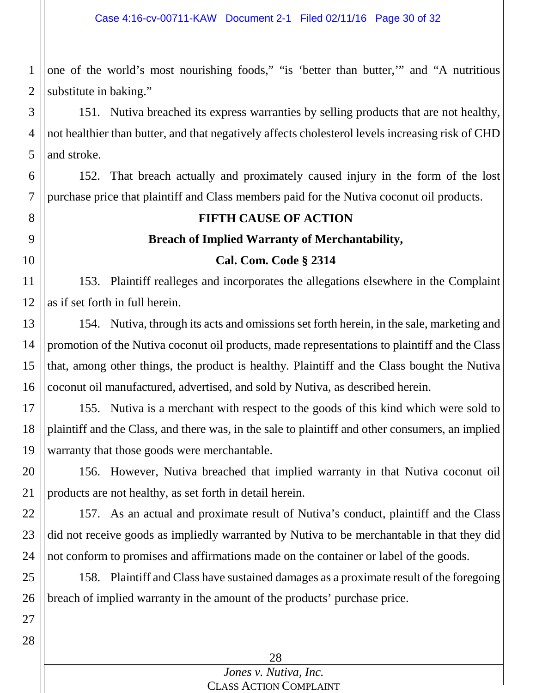1 2 one of the world's most nourishing foods," "is 'better than butter,'" and "A nutritious substitute in baking."

3 4 5 151. Nutiva breached its express warranties by selling products that are not healthy, not healthier than butter, and that negatively affects cholesterol levels increasing risk of CHD and stroke.

6 7 152. That breach actually and proximately caused injury in the form of the lost purchase price that plaintiff and Class members paid for the Nutiva coconut oil products.

# **FIFTH CAUSE OF ACTION Breach of Implied Warranty of Merchantability, Cal. Com. Code § 2314**

11 12 153. Plaintiff realleges and incorporates the allegations elsewhere in the Complaint as if set forth in full herein.

13 14 15 16 154. Nutiva, through its acts and omissions set forth herein, in the sale, marketing and promotion of the Nutiva coconut oil products, made representations to plaintiff and the Class that, among other things, the product is healthy. Plaintiff and the Class bought the Nutiva coconut oil manufactured, advertised, and sold by Nutiva, as described herein.

17 18 19 155. Nutiva is a merchant with respect to the goods of this kind which were sold to plaintiff and the Class, and there was, in the sale to plaintiff and other consumers, an implied warranty that those goods were merchantable.

20 21 156. However, Nutiva breached that implied warranty in that Nutiva coconut oil products are not healthy, as set forth in detail herein.

22 23 24 157. As an actual and proximate result of Nutiva's conduct, plaintiff and the Class did not receive goods as impliedly warranted by Nutiva to be merchantable in that they did not conform to promises and affirmations made on the container or label of the goods.

25 26 158. Plaintiff and Class have sustained damages as a proximate result of the foregoing breach of implied warranty in the amount of the products' purchase price.

27 28

8

9

10

28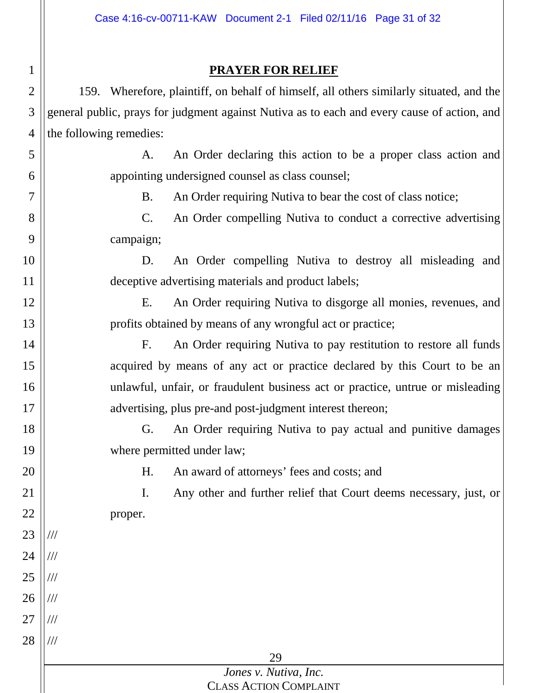### **PRAYER FOR RELIEF**

1

2

3

4

5

6

7

8

9

10

11

12

13

14

15

16

17

18

19

20

21

22

23

///

///

///

///

///

///

24

25

26

27

28

159. Wherefore, plaintiff, on behalf of himself, all others similarly situated, and the general public, prays for judgment against Nutiva as to each and every cause of action, and the following remedies:

A. An Order declaring this action to be a proper class action and appointing undersigned counsel as class counsel;

B. An Order requiring Nutiva to bear the cost of class notice;

C. An Order compelling Nutiva to conduct a corrective advertising campaign;

D. An Order compelling Nutiva to destroy all misleading and deceptive advertising materials and product labels;

E. An Order requiring Nutiva to disgorge all monies, revenues, and profits obtained by means of any wrongful act or practice;

F. An Order requiring Nutiva to pay restitution to restore all funds acquired by means of any act or practice declared by this Court to be an unlawful, unfair, or fraudulent business act or practice, untrue or misleading advertising, plus pre-and post-judgment interest thereon;

G. An Order requiring Nutiva to pay actual and punitive damages where permitted under law;

H. An award of attorneys' fees and costs; and

I. Any other and further relief that Court deems necessary, just, or proper.

29